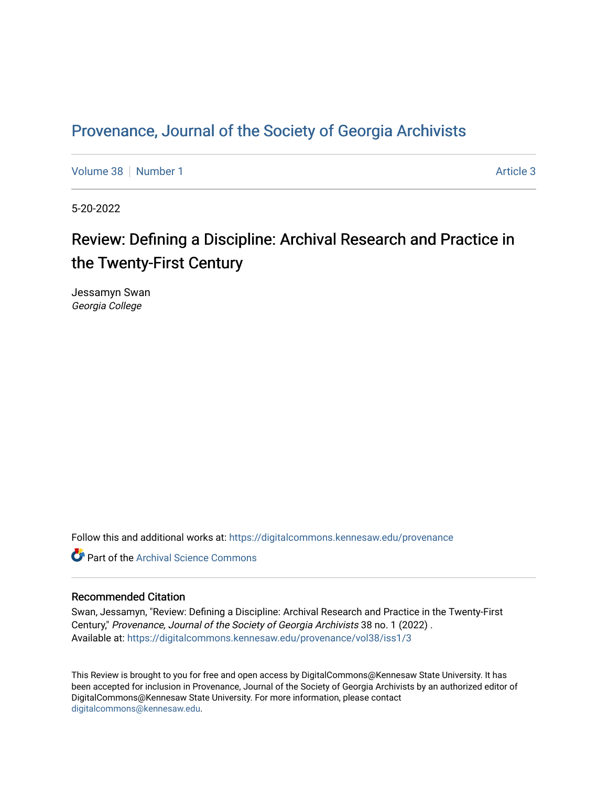## Provenance, Journal of the Society of Georgia Archivists

[Volume 38](https://digitalcommons.kennesaw.edu/provenance/vol38) [Number 1](https://digitalcommons.kennesaw.edu/provenance/vol38/iss1) [Article 3](https://digitalcommons.kennesaw.edu/provenance/vol38/iss1/3) Article 3

5-20-2022

## Review: Defining a Discipline: Archival Research and Practice in the Twenty-First Century

Jessamyn Swan Georgia College

Follow this and additional works at: [https://digitalcommons.kennesaw.edu/provenance](https://digitalcommons.kennesaw.edu/provenance?utm_source=digitalcommons.kennesaw.edu%2Fprovenance%2Fvol38%2Fiss1%2F3&utm_medium=PDF&utm_campaign=PDFCoverPages) 

**C** Part of the Archival Science Commons

## Recommended Citation

Swan, Jessamyn, "Review: Defining a Discipline: Archival Research and Practice in the Twenty-First Century," Provenance, Journal of the Society of Georgia Archivists 38 no. 1 (2022) . Available at: [https://digitalcommons.kennesaw.edu/provenance/vol38/iss1/3](https://digitalcommons.kennesaw.edu/provenance/vol38/iss1/3?utm_source=digitalcommons.kennesaw.edu%2Fprovenance%2Fvol38%2Fiss1%2F3&utm_medium=PDF&utm_campaign=PDFCoverPages) 

This Review is brought to you for free and open access by DigitalCommons@Kennesaw State University. It has been accepted for inclusion in Provenance, Journal of the Society of Georgia Archivists by an authorized editor of DigitalCommons@Kennesaw State University. For more information, please contact [digitalcommons@kennesaw.edu.](mailto:digitalcommons@kennesaw.edu)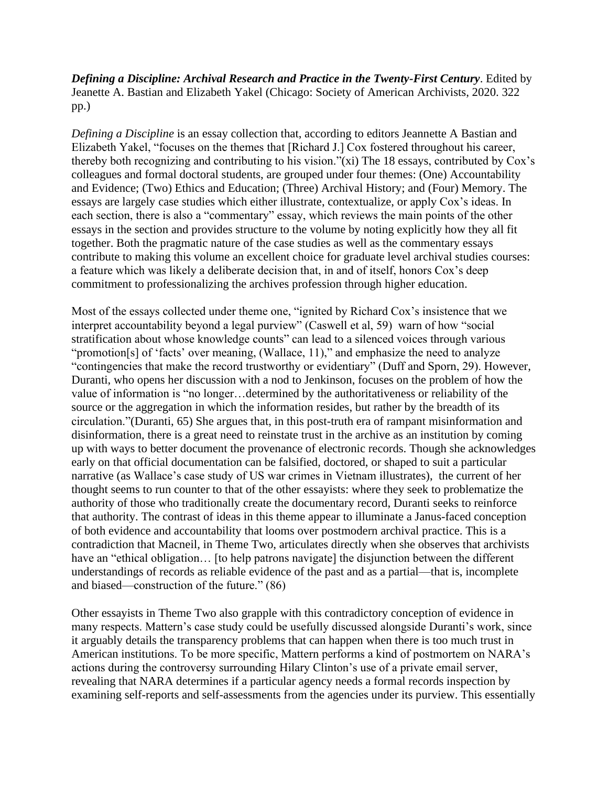*Defining a Discipline: Archival Research and Practice in the Twenty-First Century*. Edited by Jeanette A. Bastian and Elizabeth Yakel (Chicago: Society of American Archivists, 2020. 322 pp.)

*Defining a Discipline* is an essay collection that, according to editors Jeannette A Bastian and Elizabeth Yakel, "focuses on the themes that [Richard J.] Cox fostered throughout his career, thereby both recognizing and contributing to his vision."(xi) The 18 essays, contributed by Cox's colleagues and formal doctoral students, are grouped under four themes: (One) Accountability and Evidence; (Two) Ethics and Education; (Three) Archival History; and (Four) Memory. The essays are largely case studies which either illustrate, contextualize, or apply Cox's ideas. In each section, there is also a "commentary" essay, which reviews the main points of the other essays in the section and provides structure to the volume by noting explicitly how they all fit together. Both the pragmatic nature of the case studies as well as the commentary essays contribute to making this volume an excellent choice for graduate level archival studies courses: a feature which was likely a deliberate decision that, in and of itself, honors Cox's deep commitment to professionalizing the archives profession through higher education.

Most of the essays collected under theme one, "ignited by Richard Cox's insistence that we interpret accountability beyond a legal purview" (Caswell et al, 59) warn of how "social stratification about whose knowledge counts" can lead to a silenced voices through various "promotion[s] of 'facts' over meaning, (Wallace, 11)," and emphasize the need to analyze "contingencies that make the record trustworthy or evidentiary" (Duff and Sporn, 29). However, Duranti, who opens her discussion with a nod to Jenkinson, focuses on the problem of how the value of information is "no longer…determined by the authoritativeness or reliability of the source or the aggregation in which the information resides, but rather by the breadth of its circulation."(Duranti, 65) She argues that, in this post-truth era of rampant misinformation and disinformation, there is a great need to reinstate trust in the archive as an institution by coming up with ways to better document the provenance of electronic records. Though she acknowledges early on that official documentation can be falsified, doctored, or shaped to suit a particular narrative (as Wallace's case study of US war crimes in Vietnam illustrates), the current of her thought seems to run counter to that of the other essayists: where they seek to problematize the authority of those who traditionally create the documentary record, Duranti seeks to reinforce that authority. The contrast of ideas in this theme appear to illuminate a Janus-faced conception of both evidence and accountability that looms over postmodern archival practice. This is a contradiction that Macneil, in Theme Two, articulates directly when she observes that archivists have an "ethical obligation... [to help patrons navigate] the disjunction between the different understandings of records as reliable evidence of the past and as a partial—that is, incomplete and biased—construction of the future." (86)

Other essayists in Theme Two also grapple with this contradictory conception of evidence in many respects. Mattern's case study could be usefully discussed alongside Duranti's work, since it arguably details the transparency problems that can happen when there is too much trust in American institutions. To be more specific, Mattern performs a kind of postmortem on NARA's actions during the controversy surrounding Hilary Clinton's use of a private email server, revealing that NARA determines if a particular agency needs a formal records inspection by examining self-reports and self-assessments from the agencies under its purview. This essentially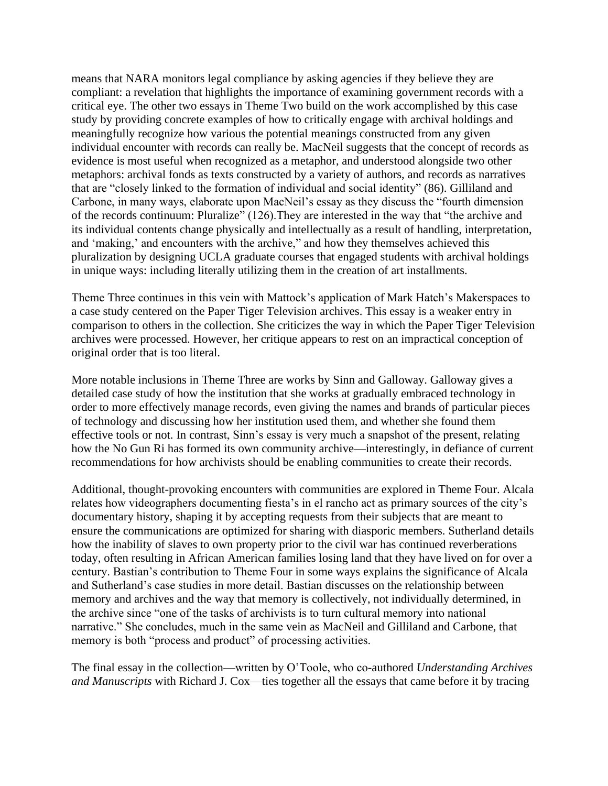means that NARA monitors legal compliance by asking agencies if they believe they are compliant: a revelation that highlights the importance of examining government records with a critical eye. The other two essays in Theme Two build on the work accomplished by this case study by providing concrete examples of how to critically engage with archival holdings and meaningfully recognize how various the potential meanings constructed from any given individual encounter with records can really be. MacNeil suggests that the concept of records as evidence is most useful when recognized as a metaphor, and understood alongside two other metaphors: archival fonds as texts constructed by a variety of authors, and records as narratives that are "closely linked to the formation of individual and social identity" (86). Gilliland and Carbone, in many ways, elaborate upon MacNeil's essay as they discuss the "fourth dimension of the records continuum: Pluralize" (126).They are interested in the way that "the archive and its individual contents change physically and intellectually as a result of handling, interpretation, and 'making,' and encounters with the archive," and how they themselves achieved this pluralization by designing UCLA graduate courses that engaged students with archival holdings in unique ways: including literally utilizing them in the creation of art installments.

Theme Three continues in this vein with Mattock's application of Mark Hatch's Makerspaces to a case study centered on the Paper Tiger Television archives. This essay is a weaker entry in comparison to others in the collection. She criticizes the way in which the Paper Tiger Television archives were processed. However, her critique appears to rest on an impractical conception of original order that is too literal.

More notable inclusions in Theme Three are works by Sinn and Galloway. Galloway gives a detailed case study of how the institution that she works at gradually embraced technology in order to more effectively manage records, even giving the names and brands of particular pieces of technology and discussing how her institution used them, and whether she found them effective tools or not. In contrast, Sinn's essay is very much a snapshot of the present, relating how the No Gun Ri has formed its own community archive—interestingly, in defiance of current recommendations for how archivists should be enabling communities to create their records.

Additional, thought-provoking encounters with communities are explored in Theme Four. Alcala relates how videographers documenting fiesta's in el rancho act as primary sources of the city's documentary history, shaping it by accepting requests from their subjects that are meant to ensure the communications are optimized for sharing with diasporic members. Sutherland details how the inability of slaves to own property prior to the civil war has continued reverberations today, often resulting in African American families losing land that they have lived on for over a century. Bastian's contribution to Theme Four in some ways explains the significance of Alcala and Sutherland's case studies in more detail. Bastian discusses on the relationship between memory and archives and the way that memory is collectively, not individually determined, in the archive since "one of the tasks of archivists is to turn cultural memory into national narrative." She concludes, much in the same vein as MacNeil and Gilliland and Carbone, that memory is both "process and product" of processing activities.

The final essay in the collection—written by O'Toole, who co-authored *Understanding Archives and Manuscripts* with Richard J. Cox—ties together all the essays that came before it by tracing